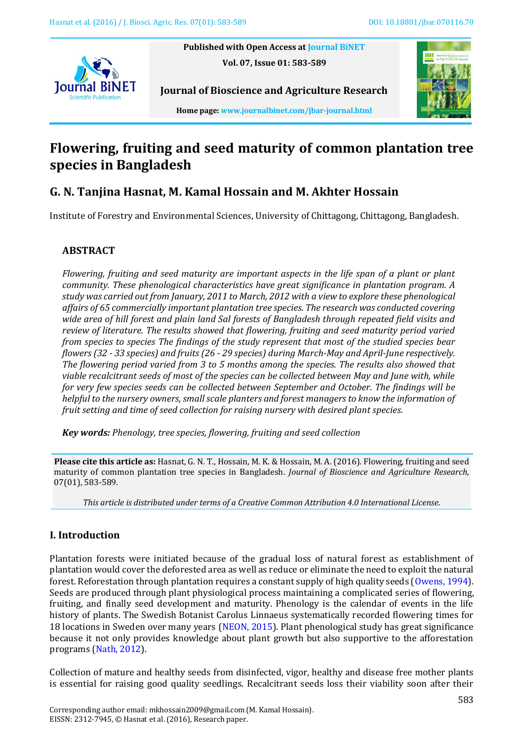

**Published with Open Access at [Journal BiNET](http://www.journalbinet.com/)**

**Vol. 07, Issue 01: 583-589**



**Journal of Bioscience and Agriculture Research Home page[: www.journalbinet.com/jbar-journal.html](http://www.journalbinet.com/jbar-journal.html)**

# **Flowering, fruiting and seed maturity of common plantation tree species in Bangladesh**

# **G. N. Tanjina Hasnat, M. Kamal Hossain and M. Akhter Hossain**

Institute of Forestry and Environmental Sciences, University of Chittagong, Chittagong, Bangladesh.

## **ABSTRACT**

*Flowering, fruiting and seed maturity are important aspects in the life span of a plant or plant community. These phenological characteristics have great significance in plantation program. A study was carried out from January, 2011 to March, 2012 with a view to explore these phenological affairs of 65 commercially important plantation tree species. The research was conducted covering wide area of hill forest and plain land Sal forests of Bangladesh through repeated field visits and review of literature. The results showed that flowering, fruiting and seed maturity period varied from species to species The findings of the study represent that most of the studied species bear flowers (32 - 33 species) and fruits (26 - 29 species) during March-May and April-June respectively. The flowering period varied from 3 to 5 months among the species. The results also showed that viable recalcitrant seeds of most of the species can be collected between May and June with, while for very few species seeds can be collected between September and October. The findings will be helpful to the nursery owners, small scale planters and forest managers to know the information of fruit setting and time of seed collection for raising nursery with desired plant species.*

*Key words: Phenology, tree species, flowering, fruiting and seed collection*

**Please cite this article as:** Hasnat, G. N. T., Hossain, M. K. & Hossain, M. A. (2016). Flowering, fruiting and seed maturity of common plantation tree species in Bangladesh. *Journal of Bioscience and Agriculture Research,* 07(01), 583-589.

*This article is distributed under terms of a Creative Common Attribution 4.0 International License.*

## **I. Introduction**

Plantation forests were initiated because of the gradual loss of natural forest as establishment of plantation would cover the deforested area as well as reduce or eliminate the need to exploit the natural forest. Reforestation through plantation requires a constant supply of high quality seeds [\(Owens, 1994\)](#page-5-0). Seeds are produced through plant physiological process maintaining a complicated series of flowering, fruiting, and finally seed development and maturity. Phenology is the calendar of events in the life history of plants. The Swedish Botanist Carolus Linnaeus systematically recorded flowering times for 18 locations in Sweden over many years [\(NEON, 2015\)](#page-5-1). Plant phenological study has great significance because it not only provides knowledge about plant growth but also supportive to the afforestation programs [\(Nath, 2012\)](#page-5-2).

Collection of mature and healthy seeds from disinfected, vigor, healthy and disease free mother plants is essential for raising good quality seedlings. Recalcitrant seeds loss their viability soon after their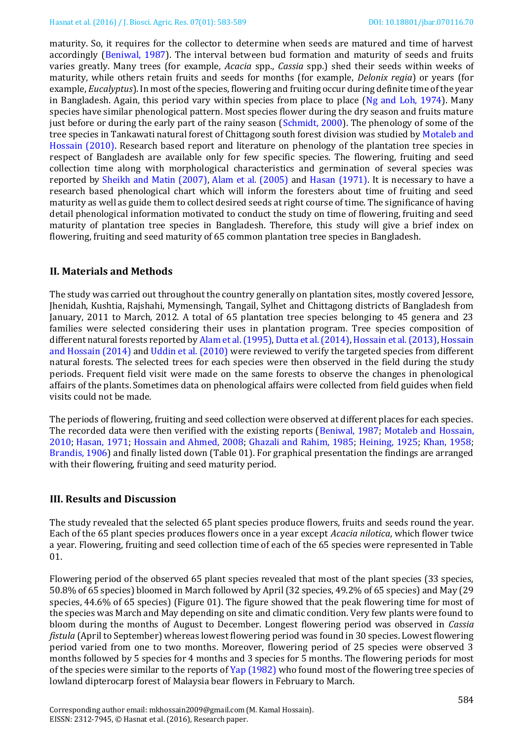maturity. So, it requires for the collector to determine when seeds are matured and time of harvest accordingly [\(Beniwal, 1987\)](#page-4-0). The interval between bud formation and maturity of seeds and fruits varies greatly. Many trees (for example, *Acacia* spp., *Cassia* spp.) shed their seeds within weeks of maturity, while others retain fruits and seeds for months (for example, *Delonix regia*) or years (for example, *Eucalyptus*). In most of the species, flowering and fruiting occur during definite time of the year in Bangladesh. Again, this period vary within species from place to place [\(Ng and Loh, 1974\)](#page-5-3). Many species have similar phenological pattern. Most species flower during the dry season and fruits mature just before or during the early part of the rainy season [\(Schmidt, 2000\)](#page-5-4). The phenology of some of the tree species in Tankawati natural forest of Chittagong south forest division was studied by [Motaleb and](#page-5-5) [Hossain \(2010\).](#page-5-5) Research based report and literature on phenology of the plantation tree species in respect of Bangladesh are available only for few specific species. The flowering, fruiting and seed collection time along with morphological characteristics and germination of several species was reported by [Sheikh and Matin \(2007\),](#page-5-6) [Alam et al.](#page-4-1) (2005) and [Hasan \(1971\).](#page-5-7) It is necessary to have a research based phenological chart which will inform the foresters about time of fruiting and seed maturity as well as guide them to collect desired seeds at right course of time. The significance of having detail phenological information motivated to conduct the study on time of flowering, fruiting and seed maturity of plantation tree species in Bangladesh. Therefore, this study will give a brief index on flowering, fruiting and seed maturity of 65 common plantation tree species in Bangladesh.

## **II. Materials and Methods**

The study was carried out throughout the country generally on plantation sites, mostly covered Jessore, Jhenidah, Kushtia, Rajshahi, Mymensingh, Tangail, Sylhet and Chittagong districts of Bangladesh from January, 2011 to March, 2012. A total of 65 plantation tree species belonging to 45 genera and 23 families were selected considering their uses in plantation program. Tree species composition of different natural forests reported b[y Alam et al. \(1995\),](#page-4-1) [Dutta et al. \(2014\),](#page-4-2) [Hossain et al. \(2013\),](#page-5-8) [Hossain](#page-5-9)  [and Hossain \(2014\)](#page-5-9) an[d Uddin et al. \(2010\)](#page-5-10) were reviewed to verify the targeted species from different natural forests. The selected trees for each species were then observed in the field during the study periods. Frequent field visit were made on the same forests to observe the changes in phenological affairs of the plants. Sometimes data on phenological affairs were collected from field guides when field visits could not be made.

The periods of flowering, fruiting and seed collection were observed at different places for each species. The recorded data were then verified with the existing reports [\(Beniwal, 1987;](#page-4-0) [Motaleb and Hossain,](#page-5-5)  [2010;](#page-5-5) [Hasan, 1971;](#page-5-7) [Hossain and Ahmed, 2008;](#page-5-11) [Ghazali and Rahim, 1985;](#page-5-12) [Heining, 1925;](#page-5-13) [Khan, 1958;](#page-5-14) [Brandis, 1906\)](#page-4-3) and finally listed down (Table 01). For graphical presentation the findings are arranged with their flowering, fruiting and seed maturity period.

## **III. Results and Discussion**

The study revealed that the selected 65 plant species produce flowers, fruits and seeds round the year. Each of the 65 plant species produces flowers once in a year except *Acacia nilotica*, which flower twice a year. Flowering, fruiting and seed collection time of each of the 65 species were represented in Table 01.

Flowering period of the observed 65 plant species revealed that most of the plant species (33 species, 50.8% of 65 species) bloomed in March followed by April (32 species, 49.2% of 65 species) and May (29 species, 44.6% of 65 species) (Figure 01). The figure showed that the peak flowering time for most of the species was March and May depending on site and climatic condition. Very few plants were found to bloom during the months of August to December. Longest flowering period was observed in *Cassia fistula* (April to September) whereas lowest flowering period was found in 30 species. Lowest flowering period varied from one to two months. Moreover, flowering period of 25 species were observed 3 months followed by 5 species for 4 months and 3 species for 5 months. The flowering periods for most of the species were similar to the reports o[f Yap \(1982\)](#page-5-15) who found most of the flowering tree species of lowland dipterocarp forest of Malaysia bear flowers in February to March.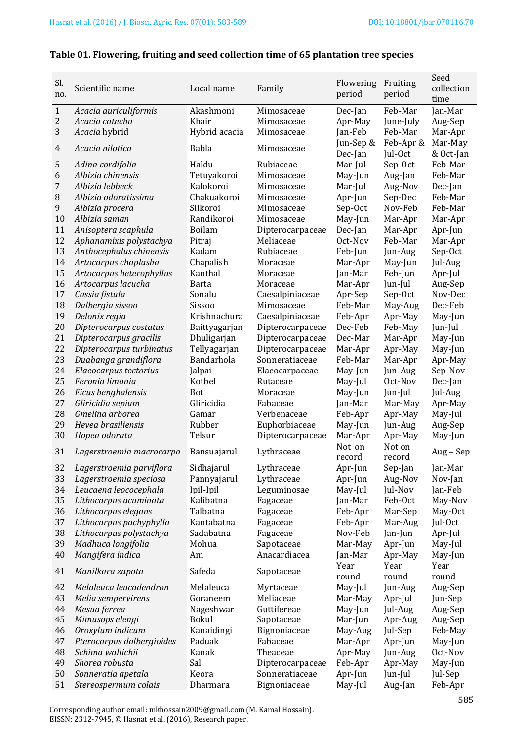| Sl.<br>no.   | Scientific name                   | Local name             | Family                        | Flowering<br>period | Fruiting<br>period | Seed<br>collection<br>time |
|--------------|-----------------------------------|------------------------|-------------------------------|---------------------|--------------------|----------------------------|
| $\mathbf{1}$ | Acacia auriculiformis             | Akashmoni              | Mimosaceae                    | Dec-Jan             | Feb-Mar            | Jan-Mar                    |
| 2            | Acacia catechu                    | Khair                  | Mimosaceae                    | Apr-May             | June-July          | Aug-Sep                    |
| 3            | Acacia hybrid                     | Hybrid acacia          | Mimosaceae                    | Jan-Feb             | Feb-Mar            | Mar-Apr                    |
| 4            | Acacia nilotica                   | <b>Babla</b>           | Mimosaceae                    | Jun-Sep &           | Feb-Apr &          | Mar-May                    |
|              |                                   |                        |                               | Dec-Jan             | Jul-Oct            | & Oct-Jan                  |
| 5            | Adina cordifolia                  | Haldu                  | Rubiaceae                     | Mar-Jul             | Sep-Oct            | Feb-Mar                    |
| 6            | Albizia chinensis                 | Tetuyakoroi            | Mimosaceae                    | May-Jun             | Aug-Jan            | Feb-Mar                    |
| 7            | Albizia lebbeck                   | Kalokoroi              | Mimosaceae                    | Mar-Jul             | Aug-Nov            | Dec-Jan                    |
| 8            | Albizia odoratissima              | Chakuakoroi            | Mimosaceae                    | Apr-Jun             | Sep-Dec            | Feb-Mar                    |
| 9            | Albizia procera                   | Silkoroi               | Mimosaceae                    | Sep-Oct             | Nov-Feb            | Feb-Mar                    |
| 10           | Albizia saman                     | Randikoroi             | Mimosaceae                    | May-Jun             | Mar-Apr            | Mar-Apr                    |
| 11           | Anisoptera scaphula               | <b>Boilam</b>          | Dipterocarpaceae              | Dec-Jan             | Mar-Apr            | Apr-Jun                    |
| 12           | Aphanamixis polystachya           | Pitraj                 | Meliaceae                     | Oct-Nov             | Feb-Mar            | Mar-Apr                    |
| 13           | Anthocephalus chinensis           | Kadam                  | Rubiaceae                     | Feb-Jun             | Jun-Aug            | Sep-Oct                    |
| 14           | Artocarpus chaplasha              | Chapalish<br>Kanthal   | Moraceae                      | Mar-Apr             | May-Jun            | Jul-Aug                    |
| 15           | Artocarpus heterophyllus          |                        | Moraceae                      | Jan-Mar             | Feb-Jun            | Apr-Jul                    |
| 16<br>17     | Artocarpus lacucha                | <b>Barta</b><br>Sonalu | Moraceae                      | Mar-Apr             | Jun-Jul<br>Sep-Oct | Aug-Sep<br>Nov-Dec         |
| 18           | Cassia fistula                    | Sissoo                 | Caesalpiniaceae<br>Mimosaceae | Apr-Sep<br>Feb-Mar  |                    | Dec-Feb                    |
| 19           | Dalbergia sissoo<br>Delonix regia | Krishnachura           | Caesalpiniaceae               | Feb-Apr             | May-Aug<br>Apr-May | May-Jun                    |
| 20           | Dipterocarpus costatus            | Baittyagarjan          | Dipterocarpaceae              | Dec-Feb             | Feb-May            | Jun-Jul                    |
| 21           | Dipterocarpus gracilis            | Dhuligarjan            | Dipterocarpaceae              | Dec-Mar             | Mar-Apr            | May-Jun                    |
| 22           | Dipterocarpus turbinatus          | Tellyagarjan           | Dipterocarpaceae              | Mar-Apr             | Apr-May            | May-Jun                    |
| 23           | Duabanga grandiflora              | Bandarhola             | Sonneratiaceae                | Feb-Mar             | Mar-Apr            | Apr-May                    |
| 24           | Elaeocarpus tectorius             | Jalpai                 | Elaeocarpaceae                | May-Jun             | Jun-Aug            | Sep-Nov                    |
| 25           | Feronia limonia                   | Kotbel                 | Rutaceae                      | May-Jul             | Oct-Nov            | Dec-Jan                    |
| 26           | Ficus benghalensis                | <b>Bot</b>             | Moraceae                      | May-Jun             | Jun-Jul            | Jul-Aug                    |
| 27           | Gliricidia sepium                 | Gliricidia             | Fabaceae                      | Jan-Mar             | Mar-May            | Apr-May                    |
| 28           | Gmelina arborea                   | Gamar                  | Verbenaceae                   | Feb-Apr             | Apr-May            | May-Jul                    |
| 29           | Hevea brasiliensis                | Rubber                 | Euphorbiaceae                 | May-Jun             | Jun-Aug            | Aug-Sep                    |
| 30           | Hopea odorata                     | Telsur                 | Dipterocarpaceae              | Mar-Apr             | Apr-May            | May-Jun                    |
| 31           | Lagerstroemia macrocarpa          | Bansuajarul            | Lythraceae                    | Not on<br>record    | Not on<br>record   | Aug – Sep                  |
| 32           | Lagerstroemia parviflora          | Sidhajarul             | Lythraceae                    | Apr-Jun             | Sep-Jan            | Jan-Mar                    |
| 33           | Lagerstroemia speciosa            | Pannyajarul            | Lythraceae                    | Apr-Jun             | Aug-Nov            | Nov-Jan                    |
| 34           | Leucaena leococephala             | Ipil-Ipil              | Leguminosae                   | May-Jul             | Jul-Nov            | Jan-Feb                    |
| 35           | Lithocarpus acuminata             | Kalibatna              | Fagaceae                      | Jan-Mar             | Feb-Oct            | May-Nov                    |
| 36           | Lithocarpus elegans               | Talbatna               | Fagaceae                      | Feb-Apr             | Mar-Sep            | May-Oct                    |
| 37           | Lithocarpus pachyphylla           | Kantabatna             | Fagaceae                      | Feb-Apr             | Mar-Aug            | Jul-Oct                    |
| 38           | Lithocarpus polystachya           | Sadabatna              | Fagaceae                      | Nov-Feb             | Jan-Jun            | Apr-Jul                    |
| 39           | Madhuca longifolia                | Mohua                  | Sapotaceae                    | Mar-May             | Apr-Jun            | May-Jul                    |
| 40           | Mangifera indica                  | Am                     | Anacardiacea                  | Jan-Mar             | Apr-May            | May-Jun                    |
| 41           | Manilkara zapota                  | Safeda                 | Sapotaceae                    | Year                | Year               | Year                       |
|              |                                   |                        |                               | round               | round              | round                      |
| 42           | Melaleuca leucadendron            | Melaleuca              | Myrtaceae                     | May-Jul             | Jun-Aug            | Aug-Sep                    |
| 43           | Melia sempervirens                | Goraneem               | Meliaceae                     | Mar-May             | Apr-Jul            | Jun-Sep                    |
| 44           | Mesua ferrea                      | Nageshwar              | Guttifereae                   | May-Jun             | Jul-Aug            | Aug-Sep                    |
| 45           | Mimusops elengi                   | <b>Bokul</b>           | Sapotaceae                    | Mar-Jun             | Apr-Aug            | Aug-Sep                    |
| 46           | Oroxylum indicum                  | Kanaidingi             | Bignoniaceae                  | May-Aug             | Jul-Sep            | Feb-May                    |
| 47           | Pterocarpus dalbergioides         | Paduak                 | Fabaceae                      | Mar-Apr             | Apr-Jun            | May-Jun                    |
| 48           | Schima wallichii                  | Kanak                  | Theaceae                      | Apr-May             | Jun-Aug            | Oct-Nov                    |
| 49           | Shorea robusta                    | Sal                    | Dipterocarpaceae              | Feb-Apr             | Apr-May            | May-Jun                    |
| 50           | Sonneratia apetala                | Keora                  | Sonneratiaceae                | Apr-Jun             | Jun-Jul            | Jul-Sep                    |
| 51           | Stereospermum colais              | Dharmara               | Bignoniaceae                  | May-Jul             | Aug-Jan            | Feb-Apr                    |

## **Table 01. Flowering, fruiting and seed collection time of 65 plantation tree species**

Corresponding author email: mkhossain2009@gmail.com (M. Kamal Hossain). EISSN: 2312-7945, © Hasnat et al. (2016), Research paper.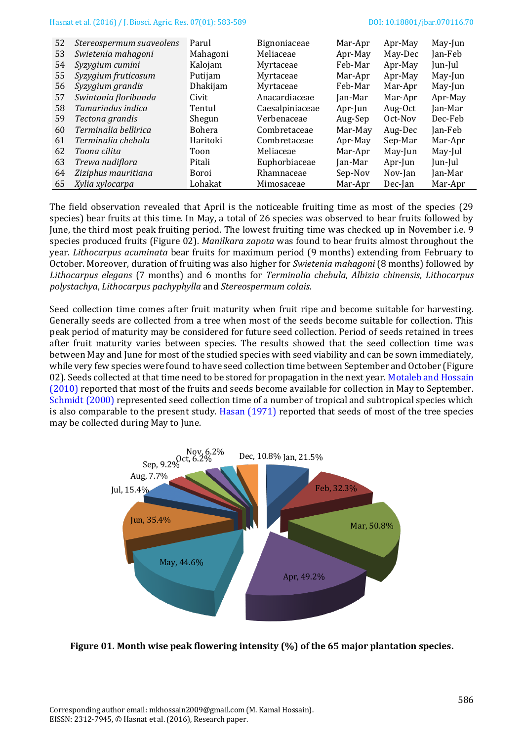#### Hasnat et al. (2016) / J. Biosci. Agric. Res. 07(01): 583-589 [DOI: 10.18801/jbar.070116.70](http://www.journalbinet.com/jbar-070116-70.html)

| 52 | Stereospermum suaveolens | Parul         | <b>Bignoniaceae</b> | Mar-Apr | Apr-May | May-Jun |
|----|--------------------------|---------------|---------------------|---------|---------|---------|
| 53 | Swietenia mahagoni       | Mahagoni      | Meliaceae           | Apr-May | May-Dec | Jan-Feb |
| 54 | Syzygium cumini          | Kalojam       | Myrtaceae           | Feb-Mar | Apr-May | Jun-Jul |
| 55 | Syzygium fruticosum      | Putijam       | Myrtaceae           | Mar-Apr | Apr-May | May-Jun |
| 56 | Syzygium grandis         | Dhakijam      | Myrtaceae           | Feb-Mar | Mar-Apr | May-Jun |
| 57 | Swintonia floribunda     | Civit         | Anacardiaceae       | Jan-Mar | Mar-Apr | Apr-May |
| 58 | Tamarindus indica        | Tentul        | Caesalpiniaceae     | Apr-Jun | Aug-Oct | Jan-Mar |
| 59 | Tectona grandis          | Shegun        | Verbenaceae         | Aug-Sep | Oct-Nov | Dec-Feb |
| 60 | Terminalia bellirica     | <b>Bohera</b> | Combretaceae        | Mar-May | Aug-Dec | Jan-Feb |
| 61 | Terminalia chebula       | Haritoki      | Combretaceae        | Apr-May | Sep-Mar | Mar-Apr |
| 62 | Toona cilita             | Toon          | Meliaceae           | Mar-Apr | May-Jun | May-Jul |
| 63 | Trewa nudiflora          | Pitali        | Euphorbiaceae       | Jan-Mar | Apr-Jun | Jun-Jul |
| 64 | Ziziphus mauritiana      | Boroi         | Rhamnaceae          | Sep-Nov | Nov-Jan | Jan-Mar |
| 65 | Xylia xylocarpa          | Lohakat       | Mimosaceae          | Mar-Apr | Dec-Jan | Mar-Apr |

The field observation revealed that April is the noticeable fruiting time as most of the species (29 species) bear fruits at this time. In May, a total of 26 species was observed to bear fruits followed by June, the third most peak fruiting period. The lowest fruiting time was checked up in November i.e. 9 species produced fruits (Figure 02). *Manilkara zapota* was found to bear fruits almost throughout the year. *Lithocarpus acuminata* bear fruits for maximum period (9 months) extending from February to October. Moreover, duration of fruiting was also higher for *Swietenia mahagoni* (8 months) followed by *Lithocarpus elegans* (7 months) and 6 months for *Terminalia chebula*, *Albizia chinensis*, *Lithocarpus polystachya*, *Lithocarpus pachyphylla* and *Stereospermum colais*.

Seed collection time comes after fruit maturity when fruit ripe and become suitable for harvesting. Generally seeds are collected from a tree when most of the seeds become suitable for collection. This peak period of maturity may be considered for future seed collection. Period of seeds retained in trees after fruit maturity varies between species. The results showed that the seed collection time was between May and June for most of the studied species with seed viability and can be sown immediately, while very few species were found to have seed collection time between September and October (Figure 02). Seeds collected at that time need to be stored for propagation in the next year. Motaleb and Hossain [\(2010\)](#page-5-5) reported that most of the fruits and seeds become available for collection in May to September. [Schmidt \(2000\)](#page-5-4) represented seed collection time of a number of tropical and subtropical species which is also comparable to the present study. [Hasan \(1971\)](#page-5-7) reported that seeds of most of the tree species may be collected during May to June.



**Figure 01. Month wise peak flowering intensity (%) of the 65 major plantation species.**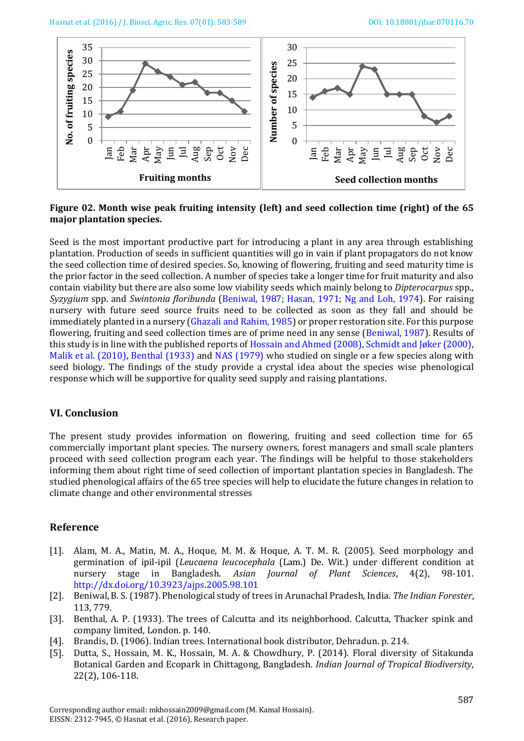

### **Figure 02. Month wise peak fruiting intensity (left) and seed collection time (right) of the 65 major plantation species.**

Seed is the most important productive part for introducing a plant in any area through establishing plantation. Production of seeds in sufficient quantities will go in vain if plant propagators do not know the seed collection time of desired species. So, knowing of flowering, fruiting and seed maturity time is the prior factor in the seed collection. A number of species take a longer time for fruit maturity and also contain viability but there are also some low viability seeds which mainly belong to *Dipterocarpus* spp., *Syzygium* spp. and *Swintonia floribunda* [\(Beniwal, 1987;](#page-4-0) [Hasan, 1971;](#page-5-7) [Ng and Loh, 1974\)](#page-5-3). For raising nursery with future seed source fruits need to be collected as soon as they fall and should be immediately planted in a nursery [\(Ghazali and Rahim, 1985\)](#page-5-12) or proper restoration site. For this purpose flowering, fruiting and seed collection times are of prime need in any sense [\(Beniwal, 1987\)](#page-4-0). Results of this study is in line with the published reports of [Hossain and Ahmed \(2008\),](#page-5-11) [Schmidt and Jøker \(2000\),](#page-5-16)  [Malik et al. \(2010\),](#page-5-17) [Benthal \(1933\)](#page-4-4) and NAS [\(1979\)](#page-5-18) who studied on single or a few species along with seed biology. The findings of the study provide a crystal idea about the species wise phenological response which will be supportive for quality seed supply and raising plantations.

## **VI. Conclusion**

The present study provides information on flowering, fruiting and seed collection time for 65 commercially important plant species. The nursery owners, forest managers and small scale planters proceed with seed collection program each year. The findings will be helpful to those stakeholders informing them about right time of seed collection of important plantation species in Bangladesh. The studied phenological affairs of the 65 tree species will help to elucidate the future changes in relation to climate change and other environmental stresses

## **Reference**

- <span id="page-4-1"></span>[1]. Alam, M. A., Matin, M. A., Hoque, M. M. & Hoque, A. T. M. R. (2005). Seed morphology and germination of ipil-ipil (*Leucaena leucocephala* (Lam.) De. Wit.) under different condition at nursery stage in Bangladesh. *Asian Journal of Plant Sciences*, 4(2), 98-101. [http://dx.doi.org/10.3923/ajps.2005.98.101](http://dx.doi.org/10.3923/ajps.2005.98.101 )
- <span id="page-4-0"></span>[2]. Beniwal, B. S. (1987). Phenological study of trees in Arunachal Pradesh, India. *The Indian Forester*, 113, 779.
- <span id="page-4-4"></span>[3]. Benthal, A. P. (1933). The trees of Calcutta and its neighborhood. Calcutta, Thacker spink and company limited, London. p. 140.
- <span id="page-4-3"></span>[4]. Brandis, D. (1906). Indian trees. International book distributor, Dehradun. p. 214.
- <span id="page-4-2"></span>[5]. Dutta, S., Hossain, M. K., Hossain, M. A. & Chowdhury, P. (2014). Floral diversity of Sitakunda Botanical Garden and Ecopark in Chittagong, Bangladesh. *Indian Journal of Tropical Biodiversity*, 22(2), 106-118.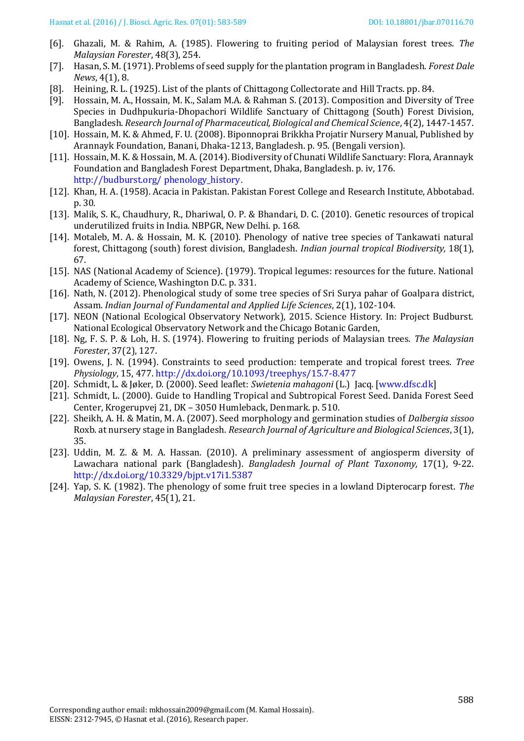- <span id="page-5-12"></span>[6]. Ghazali, M. & Rahim, A. (1985). Flowering to fruiting period of Malaysian forest trees. *The Malaysian Forester*, 48(3), 254.
- <span id="page-5-7"></span>[7]. Hasan, S. M. (1971). Problems of seed supply for the plantation program in Bangladesh. *Forest Dale News*, 4(1), 8.
- <span id="page-5-13"></span>[8]. Heining, R. L. (1925). List of the plants of Chittagong Collectorate and Hill Tracts. pp. 84.
- <span id="page-5-8"></span>[9]. Hossain, M. A., Hossain, M. K., Salam M.A. & Rahman S. (2013). Composition and Diversity of Tree Species in Dudhpukuria-Dhopachori Wildlife Sanctuary of Chittagong (South) Forest Division, Bangladesh. *Research Journal of Pharmaceutical, Biological and Chemical Science*, 4(2), 1447-1457.
- <span id="page-5-11"></span>[10]. Hossain, M. K. & Ahmed, F. U. (2008). Biponnoprai Brikkha Projatir Nursery Manual, Published by Arannayk Foundation, Banani, Dhaka-1213, Bangladesh. p. 95. (Bengali version).
- <span id="page-5-9"></span>[11]. Hossain, M. K. & Hossain, M. A. (2014). Biodiversity of Chunati Wildlife Sanctuary: Flora, Arannayk Foundation and Bangladesh Forest Department, Dhaka, Bangladesh. p. iv, 176. [http://budburst.org/ phenology\\_history](http://budburst.org/%20phenology_history).
- <span id="page-5-14"></span>[12]. Khan, H. A. (1958). Acacia in Pakistan. Pakistan Forest College and Research Institute, Abbotabad. p. 30.
- <span id="page-5-17"></span>[13]. Malik, S. K., Chaudhury, R., Dhariwal, O. P. & Bhandari, D. C. (2010). Genetic resources of tropical underutilized fruits in India. NBPGR, New Delhi. p. 168.
- <span id="page-5-5"></span>[14]. Motaleb, M. A. & Hossain, M. K. (2010). Phenology of native tree species of Tankawati natural forest, Chittagong (south) forest division, Bangladesh. *Indian journal tropical Biodiversity,* 18(1), 67.
- <span id="page-5-18"></span>[15]. NAS (National Academy of Science). (1979). Tropical legumes: resources for the future. National Academy of Science, Washington D.C. p. 331.
- <span id="page-5-2"></span>[16]. Nath, N. (2012). Phenological study of some tree species of Sri Surya pahar of Goalpara district, Assam. *Indian Journal of Fundamental and Applied Life Sciences*, 2(1), 102-104.
- <span id="page-5-1"></span>[17]. NEON (National Ecological Observatory Network), 2015. Science History. In: Project Budburst. National Ecological Observatory Network and the Chicago Botanic Garden,
- <span id="page-5-3"></span>[18]. Ng, F. S. P. & Loh, H. S. (1974). Flowering to fruiting periods of Malaysian trees. *The Malaysian Forester*, 37(2), 127.
- <span id="page-5-0"></span>[19]. Owens, J. N. (1994). Constraints to seed production: temperate and tropical forest trees. *Tree Physiology*, 15, 477. <http://dx.doi.org/10.1093/treephys/15.7-8.477>
- <span id="page-5-16"></span>[20]. Schmidt, L. & Jøker, D. (2000). Seed leaflet: *Swietenia mahagoni* (L.) Jacq. [\[www.dfsc.dk\]](file:///C:/Users/shuvo/Google%20Drive/www.dfsc.dk)
- <span id="page-5-4"></span>[21]. Schmidt, L. (2000). Guide to Handling Tropical and Subtropical Forest Seed. Danida Forest Seed Center, Krogerupvej 21, DK – 3050 Humleback, Denmark. p. 510.
- <span id="page-5-6"></span>[22]. Sheikh, A. H. & Matin, M. A. (2007). Seed morphology and germination studies of *Dalbergia sissoo*  Roxb. at nursery stage in Bangladesh. *Research Journal of Agriculture and Biological Sciences*, 3(1), 35.
- <span id="page-5-10"></span>[23]. Uddin, M. Z. & M. A. Hassan. (2010). A preliminary assessment of angiosperm diversity of Lawachara national park (Bangladesh). *Bangladesh Journal of Plant Taxonomy,* 17(1), 9-22. <http://dx.doi.org/10.3329/bjpt.v17i1.5387>
- <span id="page-5-15"></span>[24]. Yap, S. K. (1982). The phenology of some fruit tree species in a lowland Dipterocarp forest. *The Malaysian Forester*, 45(1), 21.